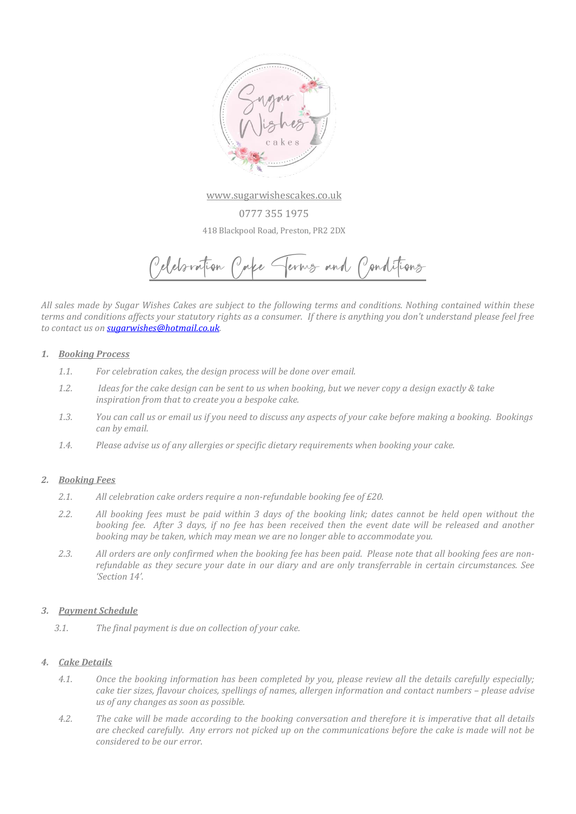

[www.sugarwishescakes.co.uk](http://www.sugarwishescakes.co.uk/)

0777 355 1975 418 Blackpool Road, Preston, PR2 2DX

Celebration Cake Terms and Conditions

*All sales made by Sugar Wishes Cakes are subject to the following terms and conditions. Nothing contained within these terms and conditions affects your statutory rights as a consumer. If there is anything you don't understand please feel free to contact us o[n sugarwishes@hotmail.co.uk.](mailto:sugarwishes@hotmail.co.uk)* 

#### *1. Booking Process*

- *1.1. For celebration cakes, the design process will be done over email.*
- *1.2. Ideas for the cake design can be sent to us when booking, but we never copy a design exactly & take inspiration from that to create you a bespoke cake.*
- *1.3. You can call us or email us if you need to discuss any aspects of your cake before making a booking. Bookings can by email.*
- *1.4. Please advise us of any allergies or specific dietary requirements when booking your cake.*

### *2. Booking Fees*

- *2.1. All celebration cake orders require a non-refundable booking fee of £20.*
- *2.2. All booking fees must be paid within 3 days of the booking link; dates cannot be held open without the booking fee. After 3 days, if no fee has been received then the event date will be released and another booking may be taken, which may mean we are no longer able to accommodate you.*
- *2.3. All orders are only confirmed when the booking fee has been paid. Please note that all booking fees are nonrefundable as they secure your date in our diary and are only transferrable in certain circumstances. See 'Section 14'.*

#### *3. Payment Schedule*

*3.1. The final payment is due on collection of your cake.* 

### *4. Cake Details*

- *4.1. Once the booking information has been completed by you, please review all the details carefully especially; cake tier sizes, flavour choices, spellings of names, allergen information and contact numbers – please advise us of any changes as soon as possible.*
- *4.2. The cake will be made according to the booking conversation and therefore it is imperative that all details are checked carefully. Any errors not picked up on the communications before the cake is made will not be considered to be our error.*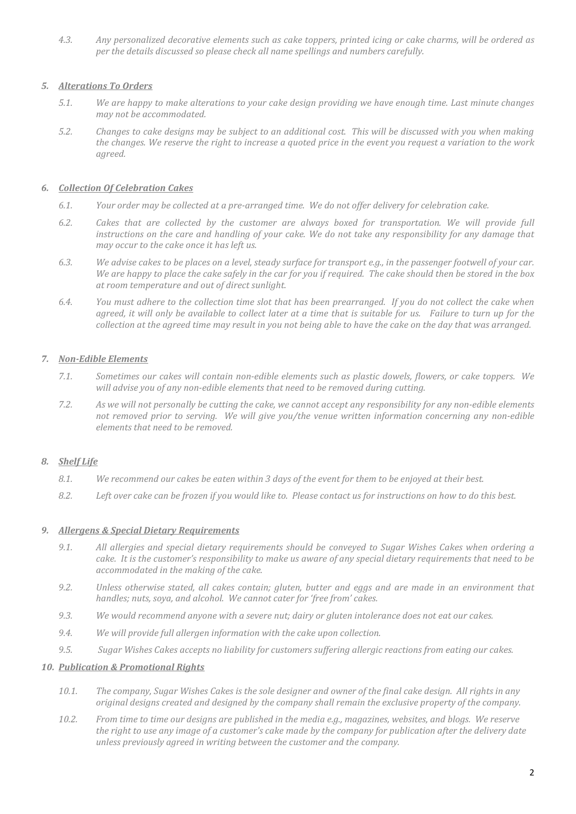*4.3. Any personalized decorative elements such as cake toppers, printed icing or cake charms, will be ordered as per the details discussed so please check all name spellings and numbers carefully.*

# *5. Alterations To Orders*

- *5.1. We are happy to make alterations to your cake design providing we have enough time. Last minute changes may not be accommodated.*
- *5.2. Changes to cake designs may be subject to an additional cost. This will be discussed with you when making the changes. We reserve the right to increase a quoted price in the event you request a variation to the work agreed.*

## *6. Collection Of Celebration Cakes*

- *6.1. Your order may be collected at a pre-arranged time. We do not offer delivery for celebration cake.*
- *6.2. Cakes that are collected by the customer are always boxed for transportation. We will provide full instructions on the care and handling of your cake. We do not take any responsibility for any damage that may occur to the cake once it has left us.*
- *6.3. We advise cakes to be places on a level, steady surface for transport e.g., in the passenger footwell of your car. We are happy to place the cake safely in the car for you if required. The cake should then be stored in the box at room temperature and out of direct sunlight.*
- *6.4. You must adhere to the collection time slot that has been prearranged. If you do not collect the cake when agreed, it will only be available to collect later at a time that is suitable for us. Failure to turn up for the collection at the agreed time may result in you not being able to have the cake on the day that was arranged.*

# *7. Non-Edible Elements*

- *7.1. Sometimes our cakes will contain non-edible elements such as plastic dowels, flowers, or cake toppers. We will advise you of any non-edible elements that need to be removed during cutting.*
- *7.2. As we will not personally be cutting the cake, we cannot accept any responsibility for any non-edible elements not removed prior to serving. We will give you/the venue written information concerning any non-edible elements that need to be removed.*

### *8. Shelf Life*

- *8.1. We recommend our cakes be eaten within 3 days of the event for them to be enjoyed at their best.*
- *8.2. Left over cake can be frozen if you would like to. Please contact us for instructions on how to do this best.*

### *9. Allergens & Special Dietary Requirements*

- *9.1. All allergies and special dietary requirements should be conveyed to Sugar Wishes Cakes when ordering a cake. It is the customer's responsibility to make us aware of any special dietary requirements that need to be accommodated in the making of the cake.*
- *9.2. Unless otherwise stated, all cakes contain; gluten, butter and eggs and are made in an environment that handles; nuts, soya, and alcohol. We cannot cater for 'free from' cakes.*
- *9.3. We would recommend anyone with a severe nut; dairy or gluten intolerance does not eat our cakes.*
- *9.4. We will provide full allergen information with the cake upon collection.*
- *9.5. Sugar Wishes Cakes accepts no liability for customers suffering allergic reactions from eating our cakes.*

### *10. Publication & Promotional Rights*

- *10.1. The company, Sugar Wishes Cakes is the sole designer and owner of the final cake design. All rights in any original designs created and designed by the company shall remain the exclusive property of the company.*
- *10.2. From time to time our designs are published in the media e.g., magazines, websites, and blogs. We reserve the right to use any image of a customer's cake made by the company for publication after the delivery date unless previously agreed in writing between the customer and the company.*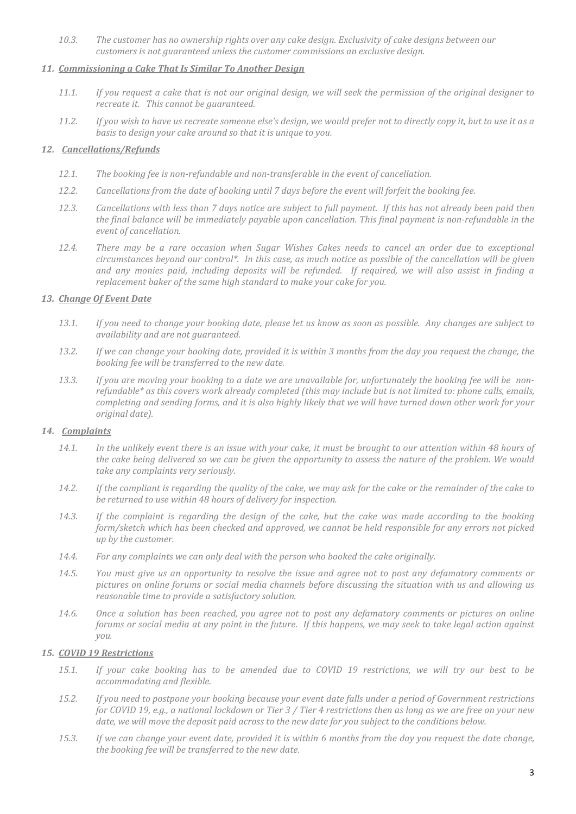*10.3. The customer has no ownership rights over any cake design. Exclusivity of cake designs between our customers is not guaranteed unless the customer commissions an exclusive design.*

### *11. Commissioning a Cake That Is Similar To Another Design*

- *11.1. If you request a cake that is not our original design, we will seek the permission of the original designer to recreate it. This cannot be guaranteed.*
- *11.2. If you wish to have us recreate someone else's design, we would prefer not to directly copy it, but to use it as a basis to design your cake around so that it is unique to you.*

### *12. Cancellations/Refunds*

- *12.1. The booking fee is non-refundable and non-transferable in the event of cancellation.*
- *12.2. Cancellations from the date of booking until 7 days before the event will forfeit the booking fee.*
- *12.3. Cancellations with less than 7 days notice are subject to full payment. If this has not already been paid then the final balance will be immediately payable upon cancellation. This final payment is non-refundable in the event of cancellation.*
- *12.4. There may be a rare occasion when Sugar Wishes Cakes needs to cancel an order due to exceptional circumstances beyond our control\*. In this case, as much notice as possible of the cancellation will be given and any monies paid, including deposits will be refunded. If required, we will also assist in finding a replacement baker of the same high standard to make your cake for you.*

### *13. Change Of Event Date*

- *13.1. If you need to change your booking date, please let us know as soon as possible. Any changes are subject to availability and are not guaranteed.*
- *13.2. If we can change your booking date, provided it is within 3 months from the day you request the change, the booking fee will be transferred to the new date.*
- *13.3. If you are moving your booking to a date we are unavailable for, unfortunately the booking fee will be nonrefundable\* as this covers work already completed (this may include but is not limited to: phone calls, emails, completing and sending forms, and it is also highly likely that we will have turned down other work for your original date).*

### *14. Complaints*

- *14.1. In the unlikely event there is an issue with your cake, it must be brought to our attention within 48 hours of the cake being delivered so we can be given the opportunity to assess the nature of the problem. We would take any complaints very seriously.*
- *14.2. If the compliant is regarding the quality of the cake, we may ask for the cake or the remainder of the cake to be returned to use within 48 hours of delivery for inspection.*
- *14.3. If the complaint is regarding the design of the cake, but the cake was made according to the booking form/sketch which has been checked and approved, we cannot be held responsible for any errors not picked up by the customer.*
- *14.4. For any complaints we can only deal with the person who booked the cake originally.*
- *14.5. You must give us an opportunity to resolve the issue and agree not to post any defamatory comments or pictures on online forums or social media channels before discussing the situation with us and allowing us reasonable time to provide a satisfactory solution.*
- *14.6. Once a solution has been reached, you agree not to post any defamatory comments or pictures on online forums or social media at any point in the future. If this happens, we may seek to take legal action against you.*

### *15. COVID 19 Restrictions*

- *15.1. If your cake booking has to be amended due to COVID 19 restrictions, we will try our best to be accommodating and flexible.*
- *15.2. If you need to postpone your booking because your event date falls under a period of Government restrictions for COVID 19, e.g., a national lockdown or Tier 3 / Tier 4 restrictions then as long as we are free on your new date, we will move the deposit paid across to the new date for you subject to the conditions below.*
- *15.3. If we can change your event date, provided it is within 6 months from the day you request the date change, the booking fee will be transferred to the new date.*